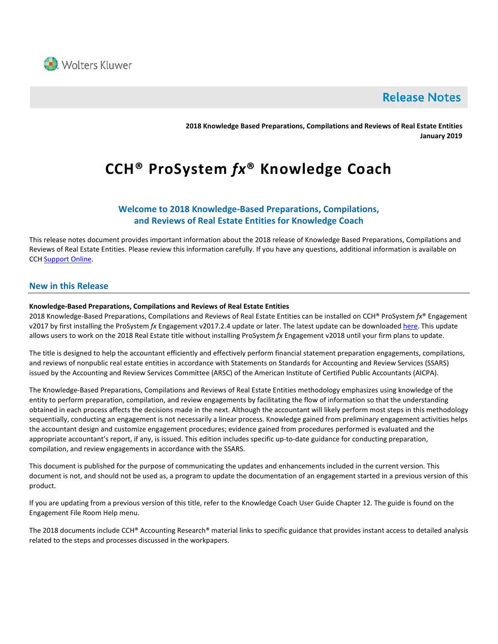

# **Release Notes**

**2018 Knowledge Based Preparations, Compilations and Reviews of Real Estate Entities January 2019**

# **CCH® ProSystem** *fx***® Knowledge Coach**

# **Welcome to 2018 Knowledge-Based Preparations, Compilations, and Reviews of Real Estate Entities for Knowledge Coach**

This release notes document provides important information about the 2018 release of Knowledge Based Preparations, Compilations and Reviews of Real Estate Entities. Please review this information carefully. If you have any questions, additional information is available on CCH [Support Online.](http://support.cch.com/productsupport/)

# **New in this Release**

### **Knowledge-Based Preparations, Compilations and Reviews of Real Estate Entities**

2018 Knowledge-Based Preparations, Compilations and Reviews of Real Estate Entities can be installed on CCH® ProSystem *fx*® Engagement v2017 by first installing the ProSystem *fx* Engagement v2017.2.4 update or later. The latest update can be downloade[d here.](https://support.cch.com/updates/Engagement/release2017/release2017.aspx) This update allows users to work on the 2018 Real Estate title without installing ProSystem *fx* Engagement v2018 until your firm plans to update.

The title is designed to help the accountant efficiently and effectively perform financial statement preparation engagements, compilations, and reviews of nonpublic real estate entities in accordance with Statements on Standards for Accounting and Review Services (SSARS) issued by the Accounting and Review Services Committee (ARSC) of the American Institute of Certified Public Accountants (AICPA).

The Knowledge-Based Preparations, Compilations and Reviews of Real Estate Entities methodology emphasizes using knowledge of the entity to perform preparation, compilation, and review engagements by facilitating the flow of information so that the understanding obtained in each process affects the decisions made in the next. Although the accountant will likely perform most steps in this methodology sequentially, conducting an engagement is not necessarily a linear process. Knowledge gained from preliminary engagement activities helps the accountant design and customize engagement procedures; evidence gained from procedures performed is evaluated and the appropriate accountant's report, if any, is issued. This edition includes specific up-to-date guidance for conducting preparation, compilation, and review engagements in accordance with the SSARS.

This document is published for the purpose of communicating the updates and enhancements included in the current version. This document is not, and should not be used as, a program to update the documentation of an engagement started in a previous version of this product.

If you are updating from a previous version of this title, refer to the Knowledge Coach User Guide Chapter 12. The guide is found on the Engagement File Room Help menu.

The 2018 documents include CCH® Accounting Research® material links to specific guidance that provides instant access to detailed analysis related to the steps and processes discussed in the workpapers.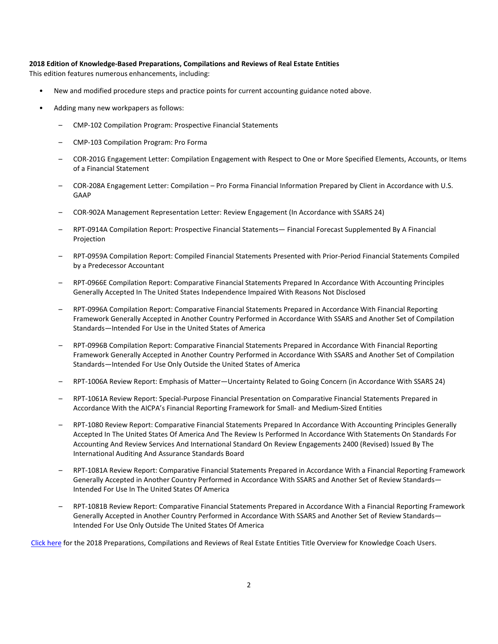#### **2018 Edition of Knowledge-Based Preparations, Compilations and Reviews of Real Estate Entities**

This edition features numerous enhancements, including:

- New and modified procedure steps and practice points for current accounting guidance noted above.
- Adding many new workpapers as follows:
	- CMP-102 Compilation Program: Prospective Financial Statements
	- CMP-103 Compilation Program: Pro Forma
	- COR-201G Engagement Letter: Compilation Engagement with Respect to One or More Specified Elements, Accounts, or Items of a Financial Statement
	- COR-208A Engagement Letter: Compilation Pro Forma Financial Information Prepared by Client in Accordance with U.S. GAAP
	- COR-902A Management Representation Letter: Review Engagement (In Accordance with SSARS 24)
	- RPT-0914A Compilation Report: Prospective Financial Statements— Financial Forecast Supplemented By A Financial Projection
	- RPT-0959A Compilation Report: Compiled Financial Statements Presented with Prior-Period Financial Statements Compiled by a Predecessor Accountant
	- RPT-0966E Compilation Report: Comparative Financial Statements Prepared In Accordance With Accounting Principles Generally Accepted In The United States Independence Impaired With Reasons Not Disclosed
	- RPT-0996A Compilation Report: Comparative Financial Statements Prepared in Accordance With Financial Reporting Framework Generally Accepted in Another Country Performed in Accordance With SSARS and Another Set of Compilation Standards—Intended For Use in the United States of America
	- RPT-0996B Compilation Report: Comparative Financial Statements Prepared in Accordance With Financial Reporting Framework Generally Accepted in Another Country Performed in Accordance With SSARS and Another Set of Compilation Standards—Intended For Use Only Outside the United States of America
	- RPT-1006A Review Report: Emphasis of Matter—Uncertainty Related to Going Concern (in Accordance With SSARS 24)
	- RPT-1061A Review Report: Special-Purpose Financial Presentation on Comparative Financial Statements Prepared in Accordance With the AICPA's Financial Reporting Framework for Small- and Medium-Sized Entities
	- RPT-1080 Review Report: Comparative Financial Statements Prepared In Accordance With Accounting Principles Generally Accepted In The United States Of America And The Review Is Performed In Accordance With Statements On Standards For Accounting And Review Services And International Standard On Review Engagements 2400 (Revised) Issued By The International Auditing And Assurance Standards Board
	- RPT-1081A Review Report: Comparative Financial Statements Prepared in Accordance With a Financial Reporting Framework Generally Accepted in Another Country Performed in Accordance With SSARS and Another Set of Review Standards— Intended For Use In The United States Of America
	- RPT-1081B Review Report: Comparative Financial Statements Prepared in Accordance With a Financial Reporting Framework Generally Accepted in Another Country Performed in Accordance With SSARS and Another Set of Review Standards— Intended For Use Only Outside The United States Of America

[Click here](http://support.cch.com/updates/KnowledgeCoach/pdf/guides_tab/2018%20Real%20Estate%20Entities%20PCR%20Title%20Overview%20for%20Knowledge%20Coach%20Users.pdf) for the 2018 Preparations, Compilations and Reviews of Real Estate Entities Title Overview for Knowledge Coach Users.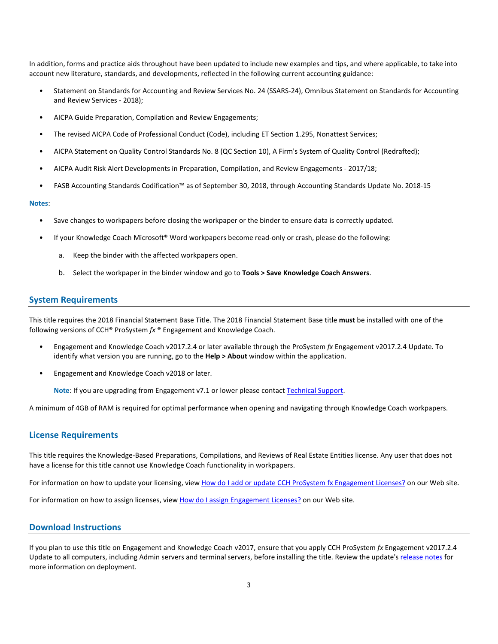In addition, forms and practice aids throughout have been updated to include new examples and tips, and where applicable, to take into account new literature, standards, and developments, reflected in the following current accounting guidance:

- Statement on Standards for Accounting and Review Services No. 24 (SSARS-24), Omnibus Statement on Standards for Accounting and Review Services - 2018);
- AICPA Guide Preparation, Compilation and Review Engagements;
- The revised AICPA Code of Professional Conduct (Code), including ET Section 1.295, Nonattest Services;
- AICPA Statement on Quality Control Standards No. 8 (QC Section 10), A Firm's System of Quality Control (Redrafted);
- AICPA Audit Risk Alert Developments in Preparation, Compilation, and Review Engagements 2017/18;
- FASB Accounting Standards Codification™ as of September 30, 2018, through Accounting Standards Update No. 2018-15

#### **Notes**:

- Save changes to workpapers before closing the workpaper or the binder to ensure data is correctly updated.
- If your Knowledge Coach Microsoft® Word workpapers become read-only or crash, please do the following:
	- a. Keep the binder with the affected workpapers open.
	- b. Select the workpaper in the binder window and go to **Tools > Save Knowledge Coach Answers**.

### **System Requirements**

This title requires the 2018 Financial Statement Base Title. The 2018 Financial Statement Base title **must** be installed with one of the following versions of CCH® ProSystem *fx* ® Engagement and Knowledge Coach.

- Engagement and Knowledge Coach v2017.2.4 or later available through the ProSystem *fx* Engagement v2017.2.4 Update. To identify what version you are running, go to the **Help > About** window within the application.
- Engagement and Knowledge Coach v2018 or later.

**Note**: If you are upgrading from Engagement v7.1 or lower please contact [Technical Support.](https://support.cch.com/contact)

A minimum of 4GB of RAM is required for optimal performance when opening and navigating through Knowledge Coach workpapers.

#### **License Requirements**

This title requires the Knowledge-Based Preparations, Compilations, and Reviews of Real Estate Entities license. Any user that does not have a license for this title cannot use Knowledge Coach functionality in workpapers.

For information on how to update your licensing, view [How do I add or update CCH ProSystem fx Engagement Licenses?](https://support.cch.com/kb/solution.aspx/sw3937) on our Web site.

For information on how to assign licenses, view [How do I assign Engagement Licenses?](https://support.cch.com/kb/solution.aspx/sw3943) on our Web site.

# **Download Instructions**

If you plan to use this title on Engagement and Knowledge Coach v2017, ensure that you apply CCH ProSystem *fx* Engagement v2017.2.4 Update to all computers, including Admin servers and terminal servers, before installing the title. Review the update'[s release notes](https://d2iceilwdglxpz.cloudfront.net/release_notes/CCH%20ProSystem%20fx%20Engagement%20Release%20Notes%202017.2.4.pdf) for more information on deployment.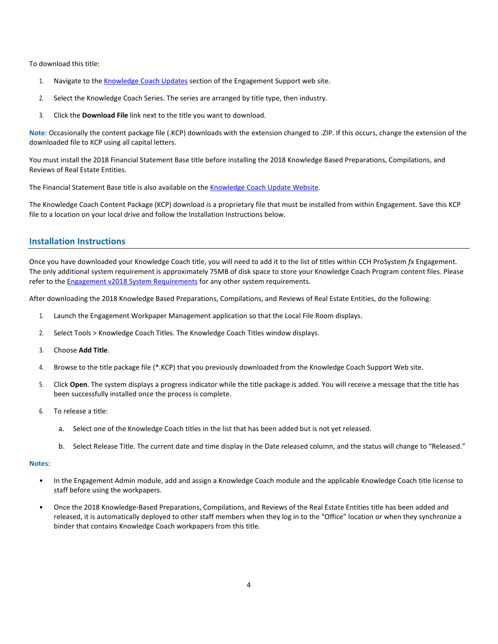To download this title:

- 1. Navigate to the [Knowledge Coach Updates](http://support.cch.com/updates/KnowledgeCoach) section of the Engagement Support web site.
- 2. Select the Knowledge Coach Series. The series are arranged by title type, then industry.
- 3. Click the **Download File** link next to the title you want to download.

**Note**: Occasionally the content package file (.KCP) downloads with the extension changed to .ZIP. If this occurs, change the extension of the downloaded file to KCP using all capital letters.

You must install the 2018 Financial Statement Base title before installing the 2018 Knowledge Based Preparations, Compilations, and Reviews of Real Estate Entities.

The Financial Statement Base title is also available on th[e Knowledge Coach Update Website.](http://support.cch.com/updates/KnowledgeCoach)

The Knowledge Coach Content Package (KCP) download is a proprietary file that must be installed from within Engagement. Save this KCP file to a location on your local drive and follow the Installation Instructions below.

# **Installation Instructions**

Once you have downloaded your Knowledge Coach title, you will need to add it to the list of titles within CCH ProSystem *fx* Engagement. The only additional system requirement is approximately 75MB of disk space to store your Knowledge Coach Program content files. Please refer to th[e Engagement v2018 System Requirements](https://support.cch.com/kb/solution/000086080/000086080) for any other system requirements.

After downloading the 2018 Knowledge Based Preparations, Compilations, and Reviews of Real Estate Entities, do the following:

- 1. Launch the Engagement Workpaper Management application so that the Local File Room displays.
- 2. Select Tools > Knowledge Coach Titles. The Knowledge Coach Titles window displays.
- 3. Choose **Add Title**.
- 4. Browse to the title package file (\*.KCP) that you previously downloaded from the Knowledge Coach Support Web site.
- 5. Click **Open**. The system displays a progress indicator while the title package is added. You will receive a message that the title has been successfully installed once the process is complete.
- 6. To release a title:
	- a. Select one of the Knowledge Coach titles in the list that has been added but is not yet released.
	- b. Select Release Title. The current date and time display in the Date released column, and the status will change to "Released."

#### **Notes**:

- In the Engagement Admin module, add and assign a Knowledge Coach module and the applicable Knowledge Coach title license to staff before using the workpapers.
- Once the 2018 Knowledge-Based Preparations, Compilations, and Reviews of the Real Estate Entities title has been added and released, it is automatically deployed to other staff members when they log in to the "Office" location or when they synchronize a binder that contains Knowledge Coach workpapers from this title.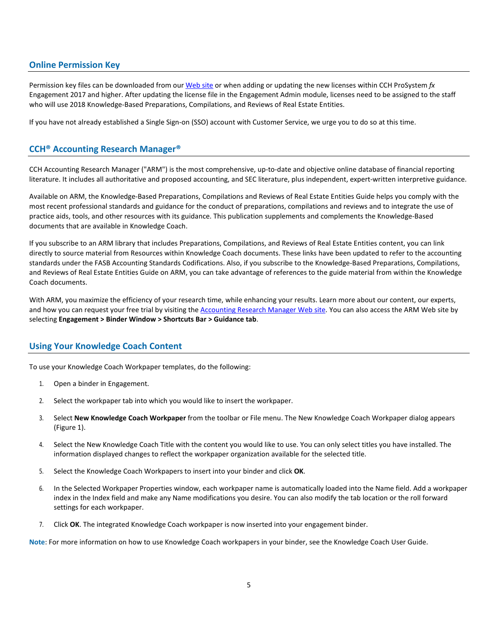# **Online Permission Key**

Permission key files can be downloaded from ou[r Web](https://prosystemfxsupport.tax.cchgroup.com/permkey/download.aspx) site or when adding or updating the new licenses within CCH ProSystem *fx* Engagement 2017 and higher. After updating the license file in the Engagement Admin module, licenses need to be assigned to the staff who will use 2018 Knowledge-Based Preparations, Compilations, and Reviews of Real Estate Entities.

If you have not already established a Single Sign-on (SSO) account with Customer Service, we urge you to do so at this time.

# **CCH® Accounting Research Manager®**

CCH Accounting Research Manager ("ARM") is the most comprehensive, up-to-date and objective online database of financial reporting literature. It includes all authoritative and proposed accounting, and SEC literature, plus independent, expert-written interpretive guidance.

Available on ARM, the Knowledge-Based Preparations, Compilations and Reviews of Real Estate Entities Guide helps you comply with the most recent professional standards and guidance for the conduct of preparations, compilations and reviews and to integrate the use of practice aids, tools, and other resources with its guidance. This publication supplements and complements the Knowledge-Based documents that are available in Knowledge Coach.

If you subscribe to an ARM library that includes Preparations, Compilations, and Reviews of Real Estate Entities content, you can link directly to source material from Resources within Knowledge Coach documents. These links have been updated to refer to the accounting standards under the FASB Accounting Standards Codifications. Also, if you subscribe to the Knowledge-Based Preparations, Compilations, and Reviews of Real Estate Entities Guide on ARM, you can take advantage of references to the guide material from within the Knowledge Coach documents.

With ARM, you maximize the efficiency of your research time, while enhancing your results. Learn more about our content, our experts, and how you can request your free trial by visiting th[e Accounting Research Manager Web](http://www.accountingresearchmanager.com/) site. You can also access the ARM Web site by selecting **Engagement > Binder Window > Shortcuts Bar > Guidance tab**.

### **Using Your Knowledge Coach Content**

To use your Knowledge Coach Workpaper templates, do the following:

- 1. Open a binder in Engagement.
- 2. Select the workpaper tab into which you would like to insert the workpaper.
- 3. Select **New Knowledge Coach Workpaper** from the toolbar or File menu. The New Knowledge Coach Workpaper dialog appears (Figure 1).
- 4. Select the New Knowledge Coach Title with the content you would like to use. You can only select titles you have installed. The information displayed changes to reflect the workpaper organization available for the selected title.
- 5. Select the Knowledge Coach Workpapers to insert into your binder and click **OK**.
- 6. In the Selected Workpaper Properties window, each workpaper name is automatically loaded into the Name field. Add a workpaper index in the Index field and make any Name modifications you desire. You can also modify the tab location or the roll forward settings for each workpaper.
- 7. Click **OK**. The integrated Knowledge Coach workpaper is now inserted into your engagement binder.

**Note**: For more information on how to use Knowledge Coach workpapers in your binder, see the Knowledge Coach User Guide.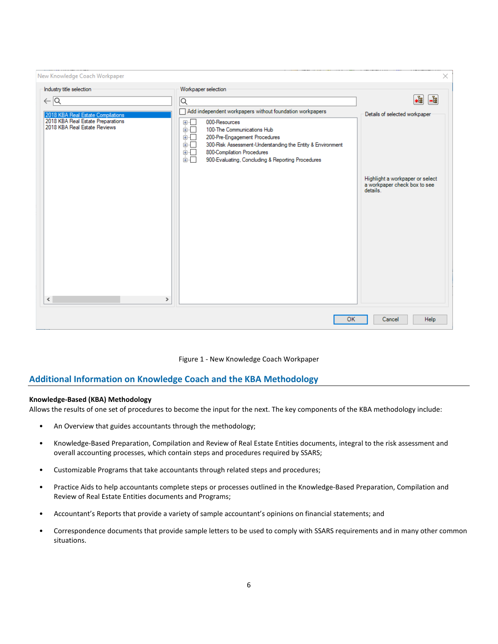| New Knowledge Coach Workpaper                                                      |                                                                                                                                                                                                                                                                    | ×                                                                                       |
|------------------------------------------------------------------------------------|--------------------------------------------------------------------------------------------------------------------------------------------------------------------------------------------------------------------------------------------------------------------|-----------------------------------------------------------------------------------------|
| Industry title selection                                                           | Workpaper selection                                                                                                                                                                                                                                                |                                                                                         |
| $\leftarrow$ $\overline{Q}$                                                        | ⊺Q                                                                                                                                                                                                                                                                 | $\frac{1}{\sqrt{2}}$<br>唱                                                               |
| 2018 KBA Real Estate Compilations                                                  | Add independent workpapers without foundation workpapers                                                                                                                                                                                                           | Details of selected workpaper                                                           |
| 2018 KBA Real Estate Preparations<br>2018 KBA Real Estate Reviews<br>$\,<$<br>$\,$ | 000-Resources<br>⊞…⊡<br>Ė⊡<br>100-The Communications Hub<br>画口<br>200-Pre-Engagement Procedures<br>画口<br>300-Risk Assessment-Understanding the Entity & Environment<br>面口<br>800-Compilation Procedures<br>面口<br>900-Evaluating, Concluding & Reporting Procedures | Highlight a workpaper or select<br>a workpaper check box to see<br>details <sup>1</sup> |
|                                                                                    | OK                                                                                                                                                                                                                                                                 | Help<br>Cancel                                                                          |

Figure 1 - New Knowledge Coach Workpaper

# **Additional Information on Knowledge Coach and the KBA Methodology**

#### **Knowledge-Based (KBA) Methodology**

Allows the results of one set of procedures to become the input for the next. The key components of the KBA methodology include:

- An Overview that guides accountants through the methodology;
- Knowledge-Based Preparation, Compilation and Review of Real Estate Entities documents, integral to the risk assessment and overall accounting processes, which contain steps and procedures required by SSARS;
- Customizable Programs that take accountants through related steps and procedures;
- Practice Aids to help accountants complete steps or processes outlined in the Knowledge-Based Preparation, Compilation and Review of Real Estate Entities documents and Programs;
- Accountant's Reports that provide a variety of sample accountant's opinions on financial statements; and
- Correspondence documents that provide sample letters to be used to comply with SSARS requirements and in many other common situations.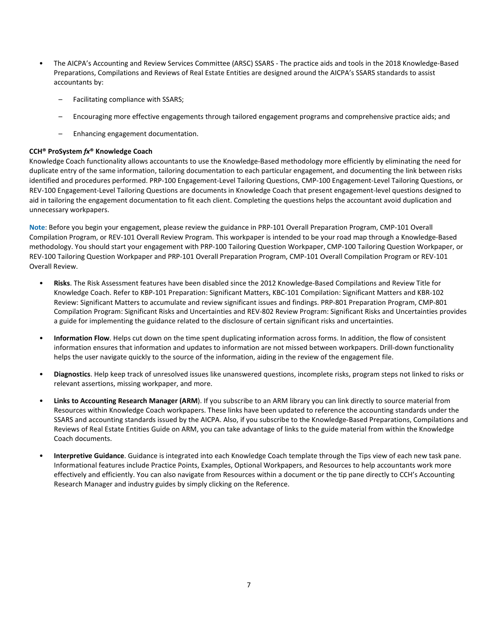- The AICPA's Accounting and Review Services Committee (ARSC) SSARS The practice aids and tools in the 2018 Knowledge-Based Preparations, Compilations and Reviews of Real Estate Entities are designed around the AICPA's SSARS standards to assist accountants by:
	- Facilitating compliance with SSARS;
	- Encouraging more effective engagements through tailored engagement programs and comprehensive practice aids; and
	- Enhancing engagement documentation.

## **CCH® ProSystem** *fx***® Knowledge Coach**

Knowledge Coach functionality allows accountants to use the Knowledge-Based methodology more efficiently by eliminating the need for duplicate entry of the same information, tailoring documentation to each particular engagement, and documenting the link between risks identified and procedures performed. PRP-100 Engagement-Level Tailoring Questions, CMP-100 Engagement-Level Tailoring Questions, or REV-100 Engagement-Level Tailoring Questions are documents in Knowledge Coach that present engagement-level questions designed to aid in tailoring the engagement documentation to fit each client. Completing the questions helps the accountant avoid duplication and unnecessary workpapers.

**Note**: Before you begin your engagement, please review the guidance in PRP-101 Overall Preparation Program, CMP-101 Overall Compilation Program, or REV-101 Overall Review Program. This workpaper is intended to be your road map through a Knowledge-Based methodology. You should start your engagement with PRP-100 Tailoring Question Workpaper, CMP-100 Tailoring Question Workpaper, or REV-100 Tailoring Question Workpaper and PRP-101 Overall Preparation Program, CMP-101 Overall Compilation Program or REV-101 Overall Review.

- **Risks**. The Risk Assessment features have been disabled since the 2012 Knowledge-Based Compilations and Review Title for Knowledge Coach. Refer to KBP-101 Preparation: Significant Matters, KBC-101 Compilation: Significant Matters and KBR-102 Review: Significant Matters to accumulate and review significant issues and findings. PRP-801 Preparation Program, CMP-801 Compilation Program: Significant Risks and Uncertainties and REV-802 Review Program: Significant Risks and Uncertainties provides a guide for implementing the guidance related to the disclosure of certain significant risks and uncertainties.
- **Information Flow**. Helps cut down on the time spent duplicating information across forms. In addition, the flow of consistent information ensures that information and updates to information are not missed between workpapers. Drill-down functionality helps the user navigate quickly to the source of the information, aiding in the review of the engagement file.
- **Diagnostics**. Help keep track of unresolved issues like unanswered questions, incomplete risks, program steps not linked to risks or relevant assertions, missing workpaper, and more.
- **Links to Accounting Research Manager (ARM**). If you subscribe to an ARM library you can link directly to source material from Resources within Knowledge Coach workpapers. These links have been updated to reference the accounting standards under the SSARS and accounting standards issued by the AICPA. Also, if you subscribe to the Knowledge-Based Preparations, Compilations and Reviews of Real Estate Entities Guide on ARM, you can take advantage of links to the guide material from within the Knowledge Coach documents.
- **Interpretive Guidance**. Guidance is integrated into each Knowledge Coach template through the Tips view of each new task pane. Informational features include Practice Points, Examples, Optional Workpapers, and Resources to help accountants work more effectively and efficiently. You can also navigate from Resources within a document or the tip pane directly to CCH's Accounting Research Manager and industry guides by simply clicking on the Reference.